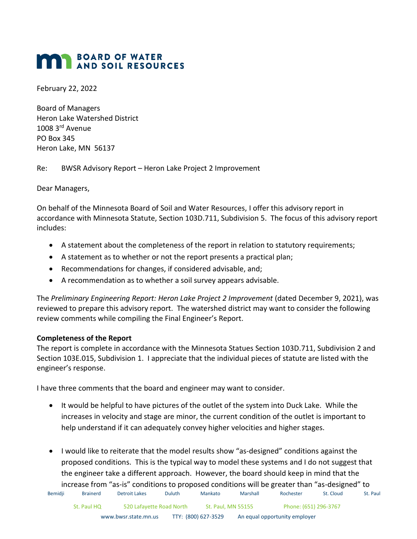# **BOARD OF WATER MAN BOARD OF WATER**

February 22, 2022

Board of Managers Heron Lake Watershed District 1008 3rd Avenue PO Box 345 Heron Lake, MN 56137

Re: BWSR Advisory Report – Heron Lake Project 2 Improvement

Dear Managers,

On behalf of the Minnesota Board of Soil and Water Resources, I offer this advisory report in accordance with Minnesota Statute, Section 103D.711, Subdivision 5. The focus of this advisory report includes:

- A statement about the completeness of the report in relation to statutory requirements;
- A statement as to whether or not the report presents a practical plan;
- Recommendations for changes, if considered advisable, and;
- A recommendation as to whether a soil survey appears advisable.

The *Preliminary Engineering Report: Heron Lake Project 2 Improvement* (dated December 9, 2021), was reviewed to prepare this advisory report. The watershed district may want to consider the following review comments while compiling the Final Engineer's Report.

# **Completeness of the Report**

The report is complete in accordance with the Minnesota Statues Section 103D.711, Subdivision 2 and Section 103E.015, Subdivision 1. I appreciate that the individual pieces of statute are listed with the engineer's response.

I have three comments that the board and engineer may want to consider.

- It would be helpful to have pictures of the outlet of the system into Duck Lake. While the increases in velocity and stage are minor, the current condition of the outlet is important to help understand if it can adequately convey higher velocities and higher stages.
- I would like to reiterate that the model results show "as-designed" conditions against the proposed conditions. This is the typical way to model these systems and I do not suggest that the engineer take a different approach. However, the board should keep in mind that the increase from "as-is" conditions to proposed conditions will be greater than "as-designed" to